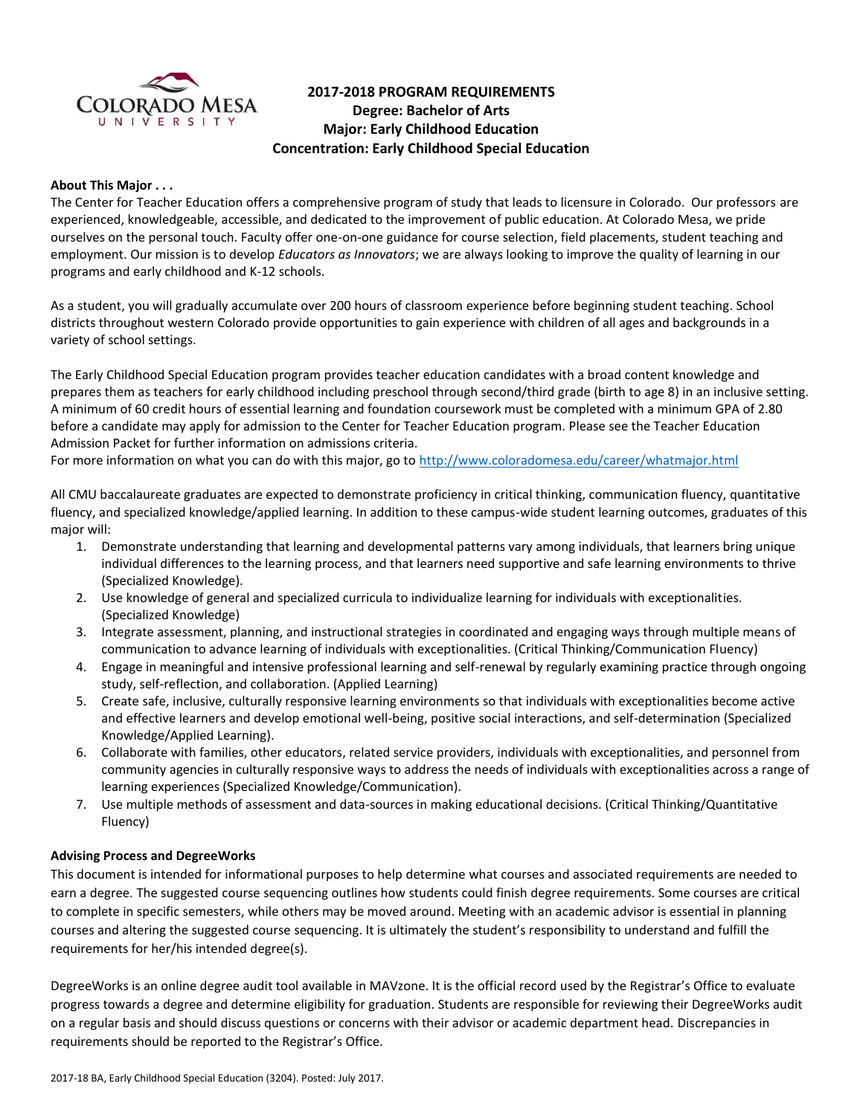

# **2017-2018 PROGRAM REQUIREMENTS Degree: Bachelor of Arts Major: Early Childhood Education Concentration: Early Childhood Special Education**

#### **About This Major . . .**

The Center for Teacher Education offers a comprehensive program of study that leads to licensure in Colorado. Our professors are experienced, knowledgeable, accessible, and dedicated to the improvement of public education. At Colorado Mesa, we pride ourselves on the personal touch. Faculty offer one-on-one guidance for course selection, field placements, student teaching and employment. Our mission is to develop *Educators as Innovators*; we are always looking to improve the quality of learning in our programs and early childhood and K-12 schools.

As a student, you will gradually accumulate over 200 hours of classroom experience before beginning student teaching. School districts throughout western Colorado provide opportunities to gain experience with children of all ages and backgrounds in a variety of school settings.

The Early Childhood Special Education program provides teacher education candidates with a broad content knowledge and prepares them as teachers for early childhood including preschool through second/third grade (birth to age 8) in an inclusive setting. A minimum of 60 credit hours of essential learning and foundation coursework must be completed with a minimum GPA of 2.80 before a candidate may apply for admission to the Center for Teacher Education program. Please see the Teacher Education Admission Packet for further information on admissions criteria.

For more information on what you can do with this major, go to<http://www.coloradomesa.edu/career/whatmajor.html>

All CMU baccalaureate graduates are expected to demonstrate proficiency in critical thinking, communication fluency, quantitative fluency, and specialized knowledge/applied learning. In addition to these campus-wide student learning outcomes, graduates of this major will:

- 1. Demonstrate understanding that learning and developmental patterns vary among individuals, that learners bring unique individual differences to the learning process, and that learners need supportive and safe learning environments to thrive (Specialized Knowledge).
- 2. Use knowledge of general and specialized curricula to individualize learning for individuals with exceptionalities. (Specialized Knowledge)
- 3. Integrate assessment, planning, and instructional strategies in coordinated and engaging ways through multiple means of communication to advance learning of individuals with exceptionalities. (Critical Thinking/Communication Fluency)
- 4. Engage in meaningful and intensive professional learning and self-renewal by regularly examining practice through ongoing study, self-reflection, and collaboration. (Applied Learning)
- 5. Create safe, inclusive, culturally responsive learning environments so that individuals with exceptionalities become active and effective learners and develop emotional well-being, positive social interactions, and self-determination (Specialized Knowledge/Applied Learning).
- 6. Collaborate with families, other educators, related service providers, individuals with exceptionalities, and personnel from community agencies in culturally responsive ways to address the needs of individuals with exceptionalities across a range of learning experiences (Specialized Knowledge/Communication).
- 7. Use multiple methods of assessment and data-sources in making educational decisions. (Critical Thinking/Quantitative Fluency)

#### **Advising Process and DegreeWorks**

This document is intended for informational purposes to help determine what courses and associated requirements are needed to earn a degree. The suggested course sequencing outlines how students could finish degree requirements. Some courses are critical to complete in specific semesters, while others may be moved around. Meeting with an academic advisor is essential in planning courses and altering the suggested course sequencing. It is ultimately the student's responsibility to understand and fulfill the requirements for her/his intended degree(s).

DegreeWorks is an online degree audit tool available in MAVzone. It is the official record used by the Registrar's Office to evaluate progress towards a degree and determine eligibility for graduation. Students are responsible for reviewing their DegreeWorks audit on a regular basis and should discuss questions or concerns with their advisor or academic department head. Discrepancies in requirements should be reported to the Registrar's Office.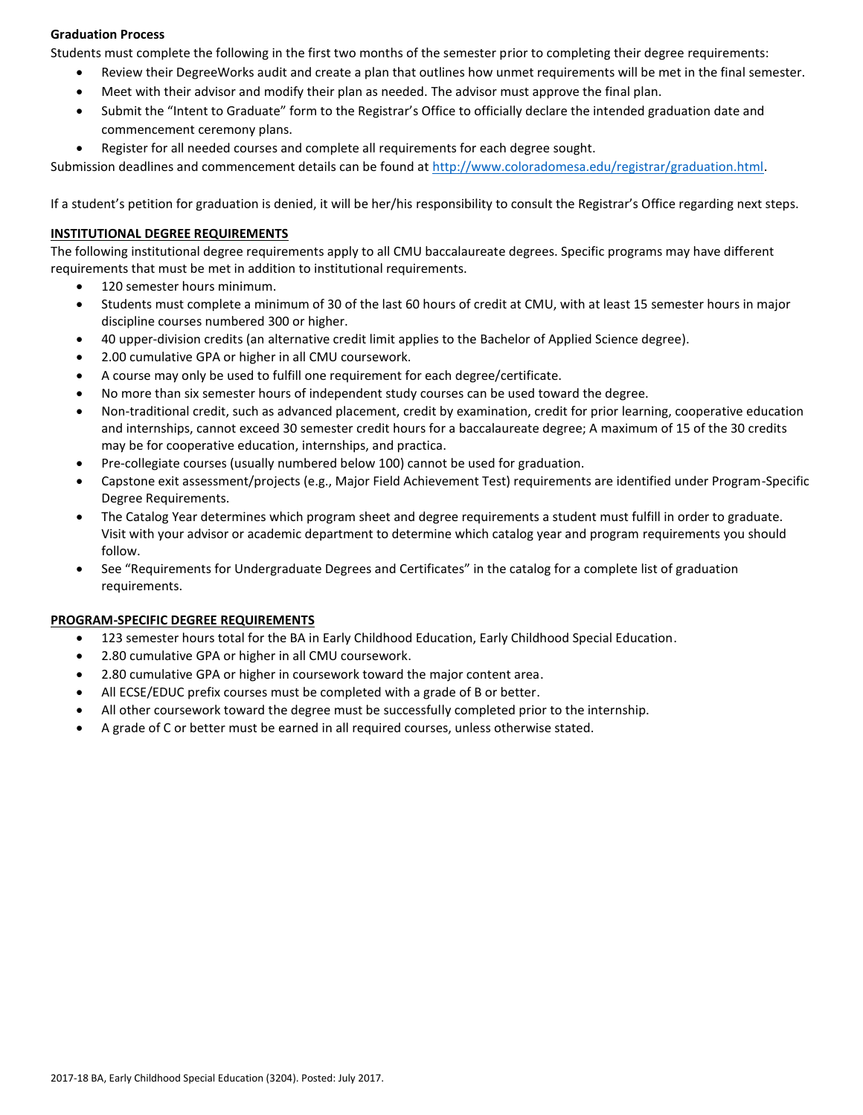#### **Graduation Process**

Students must complete the following in the first two months of the semester prior to completing their degree requirements:

- Review their DegreeWorks audit and create a plan that outlines how unmet requirements will be met in the final semester.
- Meet with their advisor and modify their plan as needed. The advisor must approve the final plan.
- Submit the "Intent to Graduate" form to the Registrar's Office to officially declare the intended graduation date and commencement ceremony plans.
- Register for all needed courses and complete all requirements for each degree sought.

Submission deadlines and commencement details can be found at [http://www.coloradomesa.edu/registrar/graduation.html.](http://www.coloradomesa.edu/registrar/graduation.html)

If a student's petition for graduation is denied, it will be her/his responsibility to consult the Registrar's Office regarding next steps.

### **INSTITUTIONAL DEGREE REQUIREMENTS**

The following institutional degree requirements apply to all CMU baccalaureate degrees. Specific programs may have different requirements that must be met in addition to institutional requirements.

- 120 semester hours minimum.
- Students must complete a minimum of 30 of the last 60 hours of credit at CMU, with at least 15 semester hours in major discipline courses numbered 300 or higher.
- 40 upper-division credits (an alternative credit limit applies to the Bachelor of Applied Science degree).
- 2.00 cumulative GPA or higher in all CMU coursework.
- A course may only be used to fulfill one requirement for each degree/certificate.
- No more than six semester hours of independent study courses can be used toward the degree.
- Non-traditional credit, such as advanced placement, credit by examination, credit for prior learning, cooperative education and internships, cannot exceed 30 semester credit hours for a baccalaureate degree; A maximum of 15 of the 30 credits may be for cooperative education, internships, and practica.
- Pre-collegiate courses (usually numbered below 100) cannot be used for graduation.
- Capstone exit assessment/projects (e.g., Major Field Achievement Test) requirements are identified under Program-Specific Degree Requirements.
- The Catalog Year determines which program sheet and degree requirements a student must fulfill in order to graduate. Visit with your advisor or academic department to determine which catalog year and program requirements you should follow.
- See "Requirements for Undergraduate Degrees and Certificates" in the catalog for a complete list of graduation requirements.

### **PROGRAM-SPECIFIC DEGREE REQUIREMENTS**

- 123 semester hours total for the BA in Early Childhood Education, Early Childhood Special Education.
- 2.80 cumulative GPA or higher in all CMU coursework.
- 2.80 cumulative GPA or higher in coursework toward the major content area.
- All ECSE/EDUC prefix courses must be completed with a grade of B or better.
- All other coursework toward the degree must be successfully completed prior to the internship.
- A grade of C or better must be earned in all required courses, unless otherwise stated.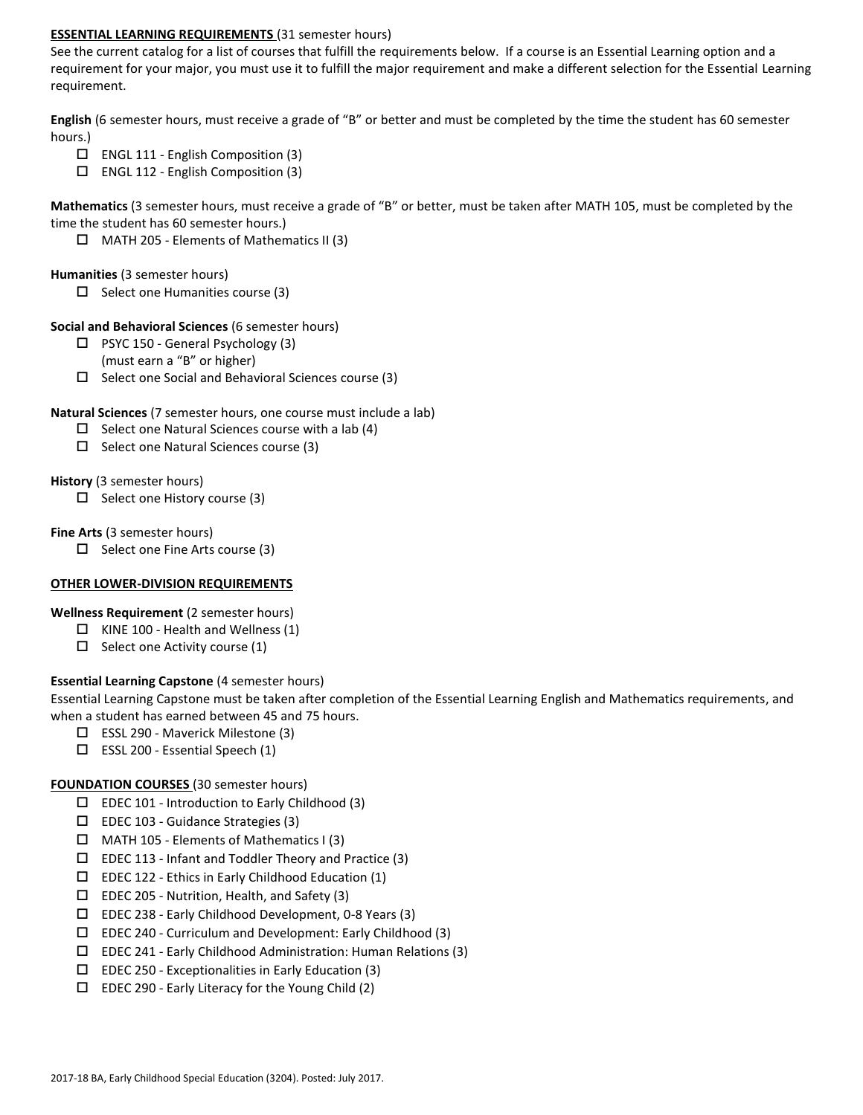#### **ESSENTIAL LEARNING REQUIREMENTS** (31 semester hours)

See the current catalog for a list of courses that fulfill the requirements below. If a course is an Essential Learning option and a requirement for your major, you must use it to fulfill the major requirement and make a different selection for the Essential Learning requirement.

**English** (6 semester hours, must receive a grade of "B" or better and must be completed by the time the student has 60 semester hours.)

- ENGL 111 English Composition (3)
- $\Box$  ENGL 112 English Composition (3)

**Mathematics** (3 semester hours, must receive a grade of "B" or better, must be taken after MATH 105, must be completed by the time the student has 60 semester hours.)

 $\Box$  MATH 205 - Elements of Mathematics II (3)

### **Humanities** (3 semester hours)

 $\square$  Select one Humanities course (3)

## **Social and Behavioral Sciences** (6 semester hours)

- $\Box$  PSYC 150 General Psychology (3)
	- (must earn a "B" or higher)
- $\square$  Select one Social and Behavioral Sciences course (3)

## **Natural Sciences** (7 semester hours, one course must include a lab)

- $\Box$  Select one Natural Sciences course with a lab (4)
- $\square$  Select one Natural Sciences course (3)

## **History** (3 semester hours)

 $\Box$  Select one History course (3)

## **Fine Arts** (3 semester hours)

 $\Box$  Select one Fine Arts course (3)

# **OTHER LOWER-DIVISION REQUIREMENTS**

### **Wellness Requirement** (2 semester hours)

- $\Box$  KINE 100 Health and Wellness (1)
- $\Box$  Select one Activity course (1)

# **Essential Learning Capstone** (4 semester hours)

Essential Learning Capstone must be taken after completion of the Essential Learning English and Mathematics requirements, and when a student has earned between 45 and 75 hours.

- □ ESSL 290 Maverick Milestone (3)
- ESSL 200 Essential Speech (1)

# **FOUNDATION COURSES** (30 semester hours)

- $\square$  EDEC 101 Introduction to Early Childhood (3)
- EDEC 103 Guidance Strategies (3)
- $\Box$  MATH 105 Elements of Mathematics I (3)
- $\square$  EDEC 113 Infant and Toddler Theory and Practice (3)
- $\square$  EDEC 122 Ethics in Early Childhood Education (1)
- $\square$  EDEC 205 Nutrition, Health, and Safety (3)
- EDEC 238 Early Childhood Development, 0-8 Years (3)
- $\square$  EDEC 240 Curriculum and Development: Early Childhood (3)
- EDEC 241 Early Childhood Administration: Human Relations (3)
- $\square$  EDEC 250 Exceptionalities in Early Education (3)
- $\Box$  EDEC 290 Early Literacy for the Young Child (2)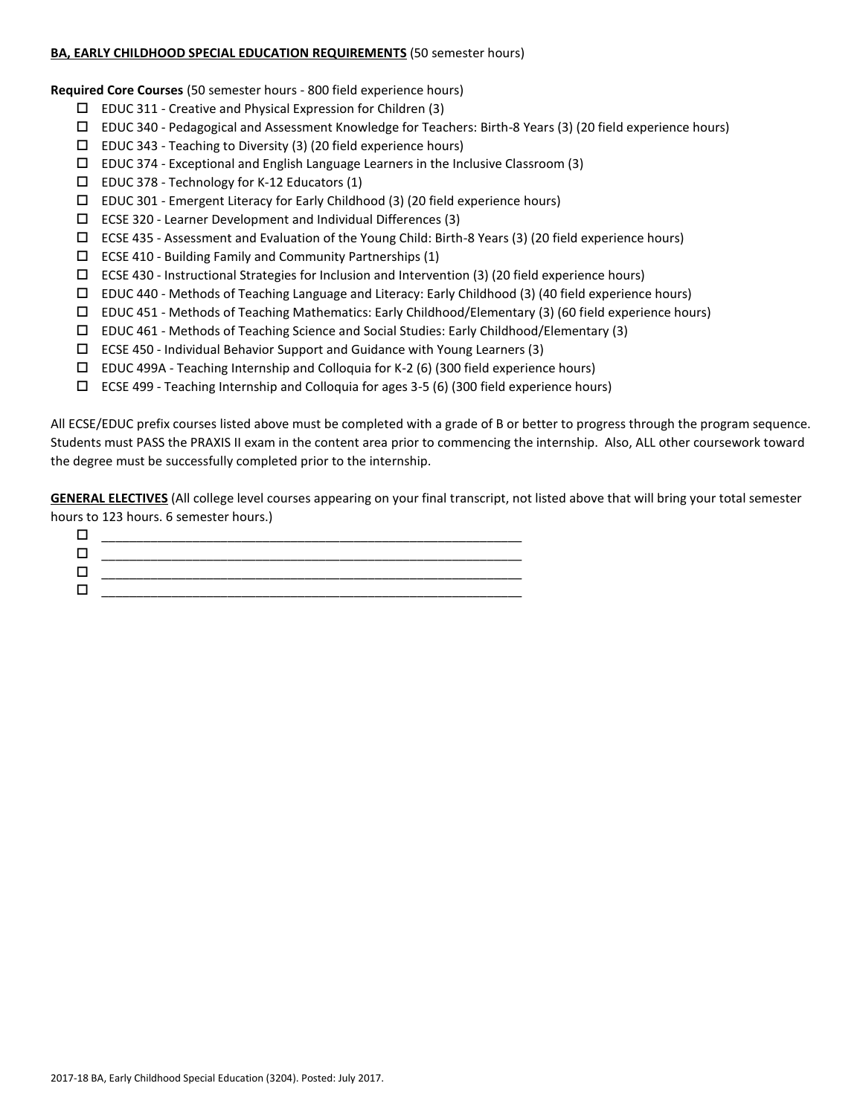#### **BA, EARLY CHILDHOOD SPECIAL EDUCATION REQUIREMENTS** (50 semester hours)

**Required Core Courses** (50 semester hours - 800 field experience hours)

- $\square$  EDUC 311 Creative and Physical Expression for Children (3)
- EDUC 340 Pedagogical and Assessment Knowledge for Teachers: Birth-8 Years (3) (20 field experience hours)
- $\square$  EDUC 343 Teaching to Diversity (3) (20 field experience hours)
- $\Box$  EDUC 374 Exceptional and English Language Learners in the Inclusive Classroom (3)
- $\square$  EDUC 378 Technology for K-12 Educators (1)
- EDUC 301 Emergent Literacy for Early Childhood (3) (20 field experience hours)
- $\square$  ECSE 320 Learner Development and Individual Differences (3)
- ECSE 435 Assessment and Evaluation of the Young Child: Birth-8 Years (3) (20 field experience hours)
- ECSE 410 Building Family and Community Partnerships (1)
- $\Box$  ECSE 430 Instructional Strategies for Inclusion and Intervention (3) (20 field experience hours)
- EDUC 440 Methods of Teaching Language and Literacy: Early Childhood (3) (40 field experience hours)
- $\Box$  EDUC 451 Methods of Teaching Mathematics: Early Childhood/Elementary (3) (60 field experience hours)
- EDUC 461 Methods of Teaching Science and Social Studies: Early Childhood/Elementary (3)
- ECSE 450 Individual Behavior Support and Guidance with Young Learners (3)
- $\Box$  EDUC 499A Teaching Internship and Colloquia for K-2 (6) (300 field experience hours)
- ECSE 499 Teaching Internship and Colloquia for ages 3-5 (6) (300 field experience hours)

All ECSE/EDUC prefix courses listed above must be completed with a grade of B or better to progress through the program sequence. Students must PASS the PRAXIS II exam in the content area prior to commencing the internship. Also, ALL other coursework toward the degree must be successfully completed prior to the internship.

**GENERAL ELECTIVES** (All college level courses appearing on your final transcript, not listed above that will bring your total semester hours to 123 hours. 6 semester hours.)